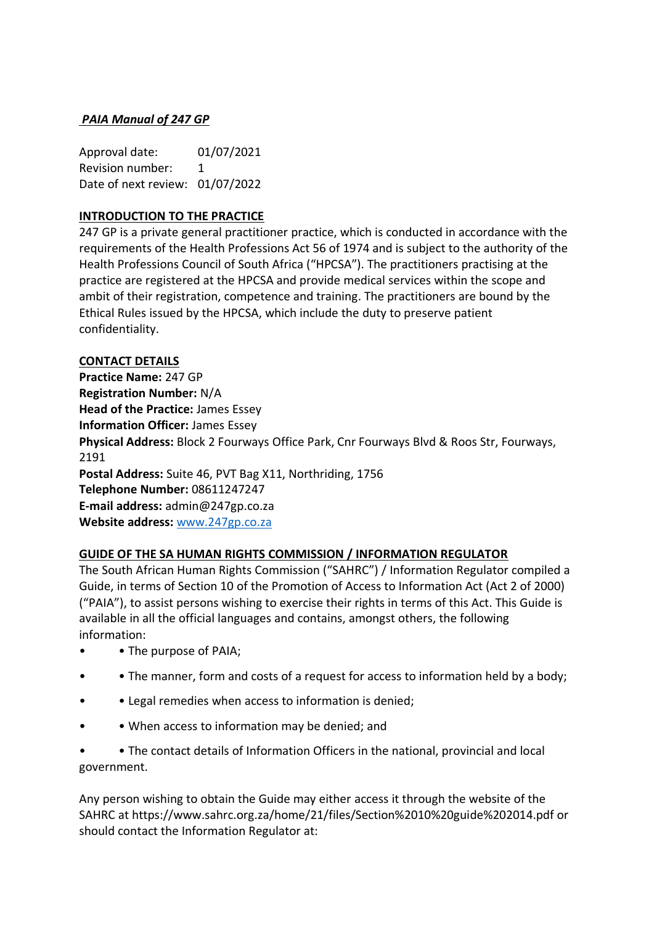# *PAIA Manual of 247 GP*

Approval date: 01/07/2021 Revision number: 1 Date of next review: 01/07/2022

## **INTRODUCTION TO THE PRACTICE**

247 GP is a private general practitioner practice, which is conducted in accordance with the requirements of the Health Professions Act 56 of 1974 and is subject to the authority of the Health Professions Council of South Africa ("HPCSA"). The practitioners practising at the practice are registered at the HPCSA and provide medical services within the scope and ambit of their registration, competence and training. The practitioners are bound by the Ethical Rules issued by the HPCSA, which include the duty to preserve patient confidentiality.

## **CONTACT DETAILS**

**Practice Name:** 247 GP **Registration Number:** N/A **Head of the Practice:** James Essey **Information Officer:** James Essey **Physical Address:** Block 2 Fourways Office Park, Cnr Fourways Blvd & Roos Str, Fourways, 2191 **Postal Address:** Suite 46, PVT Bag X11, Northriding, 1756 **Telephone Number:** 08611247247 **E-mail address:** admin@247gp.co.za **Website address:** [www.247gp.co.za](http://www.247gp.co.za/)

## **GUIDE OF THE SA HUMAN RIGHTS COMMISSION / INFORMATION REGULATOR**

The South African Human Rights Commission ("SAHRC") / Information Regulator compiled a Guide, in terms of Section 10 of the Promotion of Access to Information Act (Act 2 of 2000) ("PAIA"), to assist persons wishing to exercise their rights in terms of this Act. This Guide is available in all the official languages and contains, amongst others, the following information:

- • The purpose of PAIA;
- • The manner, form and costs of a request for access to information held by a body;
- • Legal remedies when access to information is denied;
- • When access to information may be denied; and

• • The contact details of Information Officers in the national, provincial and local government.

Any person wishing to obtain the Guide may either access it through the website of the SAHRC at https://www.sahrc.org.za/home/21/files/Section%2010%20guide%202014.pdf or should contact the Information Regulator at: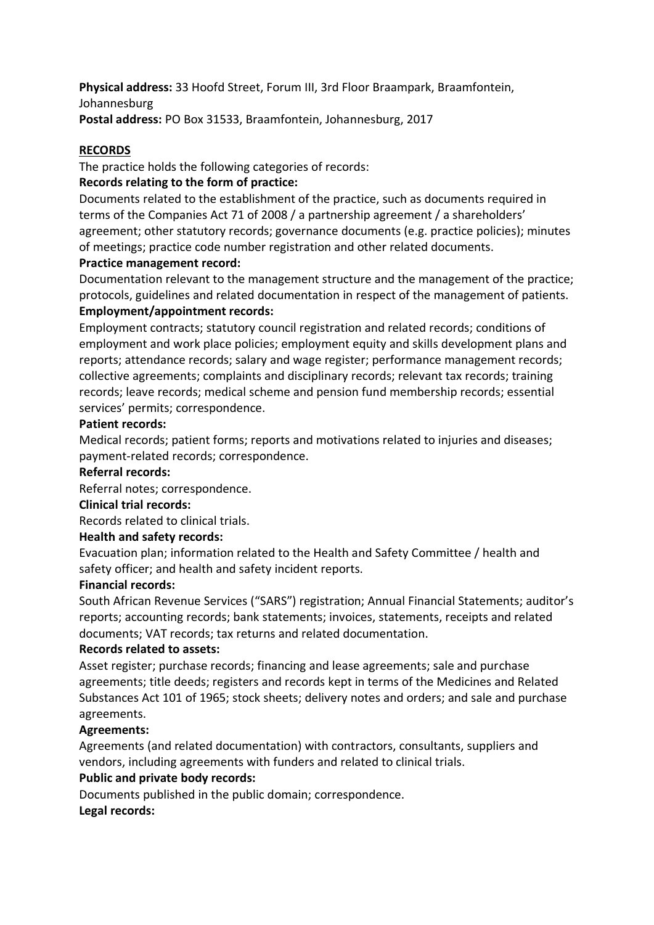**Physical address:** 33 Hoofd Street, Forum III, 3rd Floor Braampark, Braamfontein, Johannesburg **Postal address:** PO Box 31533, Braamfontein, Johannesburg, 2017

### **RECORDS**

The practice holds the following categories of records:

## **Records relating to the form of practice:**

Documents related to the establishment of the practice, such as documents required in terms of the Companies Act 71 of 2008 / a partnership agreement / a shareholders' agreement; other statutory records; governance documents (e.g. practice policies); minutes of meetings; practice code number registration and other related documents.

### **Practice management record:**

Documentation relevant to the management structure and the management of the practice; protocols, guidelines and related documentation in respect of the management of patients. **Employment/appointment records:**

Employment contracts; statutory council registration and related records; conditions of employment and work place policies; employment equity and skills development plans and reports; attendance records; salary and wage register; performance management records; collective agreements; complaints and disciplinary records; relevant tax records; training records; leave records; medical scheme and pension fund membership records; essential services' permits; correspondence.

### **Patient records:**

Medical records; patient forms; reports and motivations related to injuries and diseases; payment-related records; correspondence.

#### **Referral records:**

Referral notes; correspondence.

#### **Clinical trial records:**

Records related to clinical trials.

#### **Health and safety records:**

Evacuation plan; information related to the Health and Safety Committee / health and safety officer; and health and safety incident reports.

#### **Financial records:**

South African Revenue Services ("SARS") registration; Annual Financial Statements; auditor's reports; accounting records; bank statements; invoices, statements, receipts and related documents; VAT records; tax returns and related documentation.

#### **Records related to assets:**

Asset register; purchase records; financing and lease agreements; sale and purchase agreements; title deeds; registers and records kept in terms of the Medicines and Related Substances Act 101 of 1965; stock sheets; delivery notes and orders; and sale and purchase agreements.

## **Agreements:**

Agreements (and related documentation) with contractors, consultants, suppliers and vendors, including agreements with funders and related to clinical trials.

## **Public and private body records:**

Documents published in the public domain; correspondence. **Legal records:**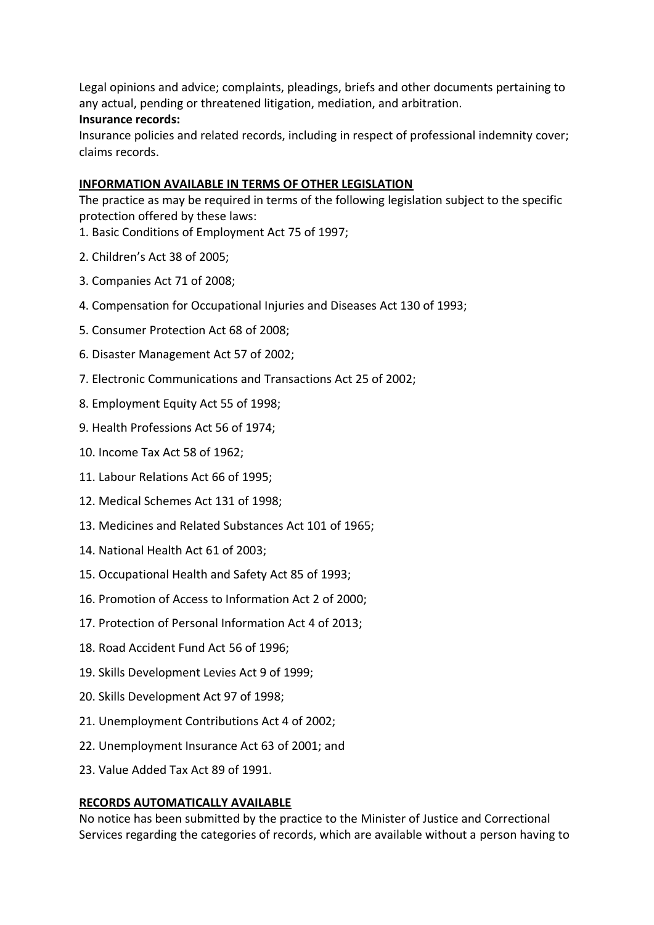Legal opinions and advice; complaints, pleadings, briefs and other documents pertaining to any actual, pending or threatened litigation, mediation, and arbitration.

### **Insurance records:**

Insurance policies and related records, including in respect of professional indemnity cover; claims records.

## **INFORMATION AVAILABLE IN TERMS OF OTHER LEGISLATION**

The practice as may be required in terms of the following legislation subject to the specific protection offered by these laws:

- 1. Basic Conditions of Employment Act 75 of 1997;
- 2. Children's Act 38 of 2005;
- 3. Companies Act 71 of 2008;
- 4. Compensation for Occupational Injuries and Diseases Act 130 of 1993;
- 5. Consumer Protection Act 68 of 2008;
- 6. Disaster Management Act 57 of 2002;
- 7. Electronic Communications and Transactions Act 25 of 2002;
- 8. Employment Equity Act 55 of 1998;
- 9. Health Professions Act 56 of 1974;
- 10. Income Tax Act 58 of 1962;
- 11. Labour Relations Act 66 of 1995;
- 12. Medical Schemes Act 131 of 1998;
- 13. Medicines and Related Substances Act 101 of 1965;
- 14. National Health Act 61 of 2003;
- 15. Occupational Health and Safety Act 85 of 1993;
- 16. Promotion of Access to Information Act 2 of 2000;
- 17. Protection of Personal Information Act 4 of 2013;
- 18. Road Accident Fund Act 56 of 1996;
- 19. Skills Development Levies Act 9 of 1999;
- 20. Skills Development Act 97 of 1998;
- 21. Unemployment Contributions Act 4 of 2002;
- 22. Unemployment Insurance Act 63 of 2001; and
- 23. Value Added Tax Act 89 of 1991.

## **RECORDS AUTOMATICALLY AVAILABLE**

No notice has been submitted by the practice to the Minister of Justice and Correctional Services regarding the categories of records, which are available without a person having to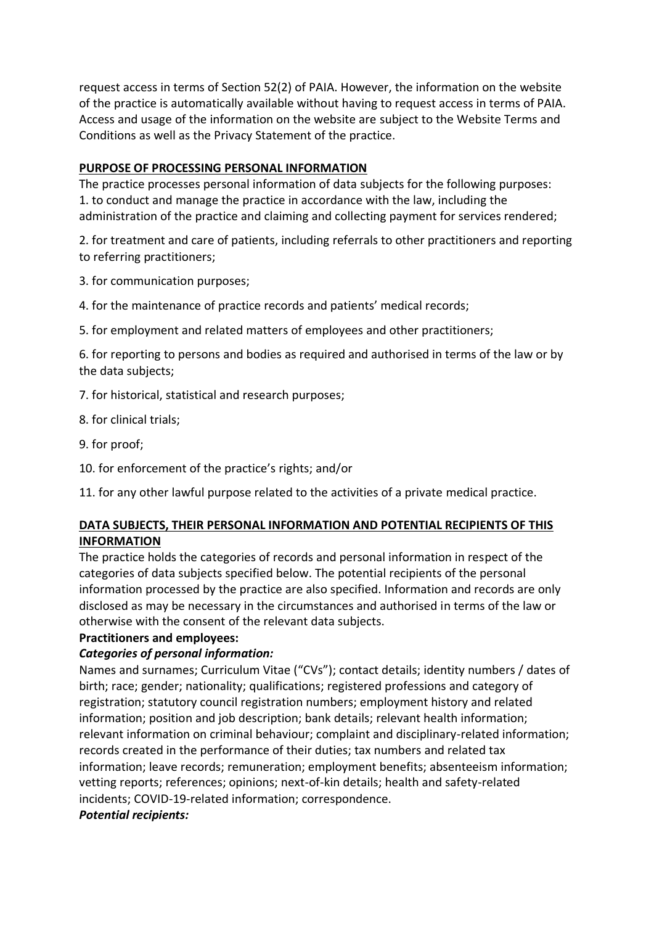request access in terms of Section 52(2) of PAIA. However, the information on the website of the practice is automatically available without having to request access in terms of PAIA. Access and usage of the information on the website are subject to the Website Terms and Conditions as well as the Privacy Statement of the practice.

### **PURPOSE OF PROCESSING PERSONAL INFORMATION**

The practice processes personal information of data subjects for the following purposes: 1. to conduct and manage the practice in accordance with the law, including the administration of the practice and claiming and collecting payment for services rendered;

2. for treatment and care of patients, including referrals to other practitioners and reporting to referring practitioners;

3. for communication purposes;

- 4. for the maintenance of practice records and patients' medical records;
- 5. for employment and related matters of employees and other practitioners;

6. for reporting to persons and bodies as required and authorised in terms of the law or by the data subjects;

- 7. for historical, statistical and research purposes;
- 8. for clinical trials;
- 9. for proof;
- 10. for enforcement of the practice's rights; and/or

11. for any other lawful purpose related to the activities of a private medical practice.

### **DATA SUBJECTS, THEIR PERSONAL INFORMATION AND POTENTIAL RECIPIENTS OF THIS INFORMATION**

The practice holds the categories of records and personal information in respect of the categories of data subjects specified below. The potential recipients of the personal information processed by the practice are also specified. Information and records are only disclosed as may be necessary in the circumstances and authorised in terms of the law or otherwise with the consent of the relevant data subjects.

## **Practitioners and employees:**

## *Categories of personal information:*

Names and surnames; Curriculum Vitae ("CVs"); contact details; identity numbers / dates of birth; race; gender; nationality; qualifications; registered professions and category of registration; statutory council registration numbers; employment history and related information; position and job description; bank details; relevant health information; relevant information on criminal behaviour; complaint and disciplinary-related information; records created in the performance of their duties; tax numbers and related tax information; leave records; remuneration; employment benefits; absenteeism information; vetting reports; references; opinions; next-of-kin details; health and safety-related incidents; COVID-19-related information; correspondence.

## *Potential recipients:*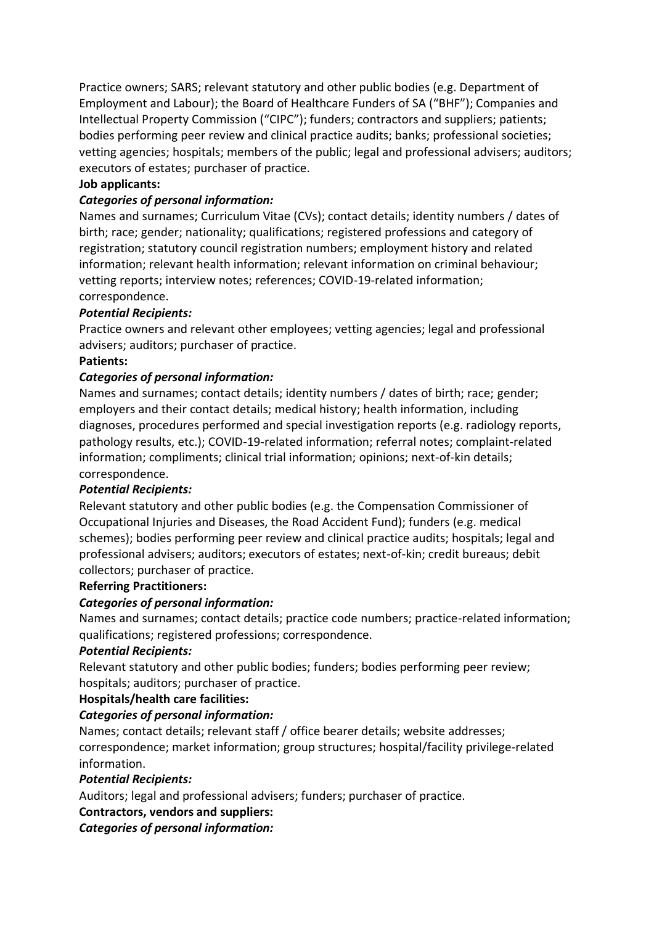Practice owners; SARS; relevant statutory and other public bodies (e.g. Department of Employment and Labour); the Board of Healthcare Funders of SA ("BHF"); Companies and Intellectual Property Commission ("CIPC"); funders; contractors and suppliers; patients; bodies performing peer review and clinical practice audits; banks; professional societies; vetting agencies; hospitals; members of the public; legal and professional advisers; auditors; executors of estates; purchaser of practice.

## **Job applicants:**

### *Categories of personal information:*

Names and surnames; Curriculum Vitae (CVs); contact details; identity numbers / dates of birth; race; gender; nationality; qualifications; registered professions and category of registration; statutory council registration numbers; employment history and related information; relevant health information; relevant information on criminal behaviour; vetting reports; interview notes; references; COVID-19-related information; correspondence.

### *Potential Recipients:*

Practice owners and relevant other employees; vetting agencies; legal and professional advisers; auditors; purchaser of practice.

#### **Patients:**

### *Categories of personal information:*

Names and surnames; contact details; identity numbers / dates of birth; race; gender; employers and their contact details; medical history; health information, including diagnoses, procedures performed and special investigation reports (e.g. radiology reports, pathology results, etc.); COVID-19-related information; referral notes; complaint-related information; compliments; clinical trial information; opinions; next-of-kin details; correspondence.

#### *Potential Recipients:*

Relevant statutory and other public bodies (e.g. the Compensation Commissioner of Occupational Injuries and Diseases, the Road Accident Fund); funders (e.g. medical schemes); bodies performing peer review and clinical practice audits; hospitals; legal and professional advisers; auditors; executors of estates; next-of-kin; credit bureaus; debit collectors; purchaser of practice.

#### **Referring Practitioners:**

#### *Categories of personal information:*

Names and surnames; contact details; practice code numbers; practice-related information; qualifications; registered professions; correspondence.

#### *Potential Recipients:*

Relevant statutory and other public bodies; funders; bodies performing peer review; hospitals; auditors; purchaser of practice.

#### **Hospitals/health care facilities:**

#### *Categories of personal information:*

Names; contact details; relevant staff / office bearer details; website addresses; correspondence; market information; group structures; hospital/facility privilege-related information.

#### *Potential Recipients:*

Auditors; legal and professional advisers; funders; purchaser of practice.

#### **Contractors, vendors and suppliers:**

*Categories of personal information:*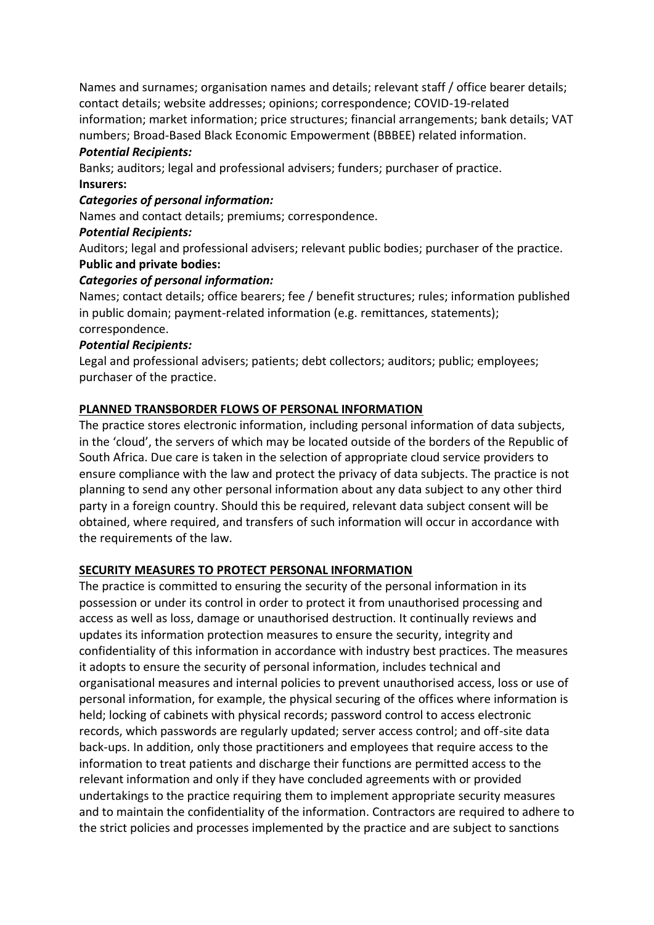Names and surnames; organisation names and details; relevant staff / office bearer details; contact details; website addresses; opinions; correspondence; COVID-19-related information; market information; price structures; financial arrangements; bank details; VAT numbers; Broad-Based Black Economic Empowerment (BBBEE) related information.

## *Potential Recipients:*

Banks; auditors; legal and professional advisers; funders; purchaser of practice. **Insurers:**

### *Categories of personal information:*

Names and contact details; premiums; correspondence.

### *Potential Recipients:*

Auditors; legal and professional advisers; relevant public bodies; purchaser of the practice. **Public and private bodies:**

### *Categories of personal information:*

Names; contact details; office bearers; fee / benefit structures; rules; information published in public domain; payment-related information (e.g. remittances, statements); correspondence.

### *Potential Recipients:*

Legal and professional advisers; patients; debt collectors; auditors; public; employees; purchaser of the practice.

## **PLANNED TRANSBORDER FLOWS OF PERSONAL INFORMATION**

The practice stores electronic information, including personal information of data subjects, in the 'cloud', the servers of which may be located outside of the borders of the Republic of South Africa. Due care is taken in the selection of appropriate cloud service providers to ensure compliance with the law and protect the privacy of data subjects. The practice is not planning to send any other personal information about any data subject to any other third party in a foreign country. Should this be required, relevant data subject consent will be obtained, where required, and transfers of such information will occur in accordance with the requirements of the law.

## **SECURITY MEASURES TO PROTECT PERSONAL INFORMATION**

The practice is committed to ensuring the security of the personal information in its possession or under its control in order to protect it from unauthorised processing and access as well as loss, damage or unauthorised destruction. It continually reviews and updates its information protection measures to ensure the security, integrity and confidentiality of this information in accordance with industry best practices. The measures it adopts to ensure the security of personal information, includes technical and organisational measures and internal policies to prevent unauthorised access, loss or use of personal information, for example, the physical securing of the offices where information is held; locking of cabinets with physical records; password control to access electronic records, which passwords are regularly updated; server access control; and off-site data back-ups. In addition, only those practitioners and employees that require access to the information to treat patients and discharge their functions are permitted access to the relevant information and only if they have concluded agreements with or provided undertakings to the practice requiring them to implement appropriate security measures and to maintain the confidentiality of the information. Contractors are required to adhere to the strict policies and processes implemented by the practice and are subject to sanctions